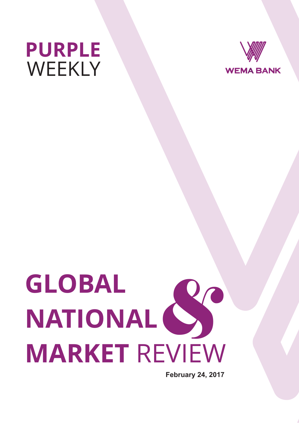



# **GLOBAL NATIONAL MARKET** REVIEW  $\sum_{n=1}^{\infty}$

**February 24, 2017**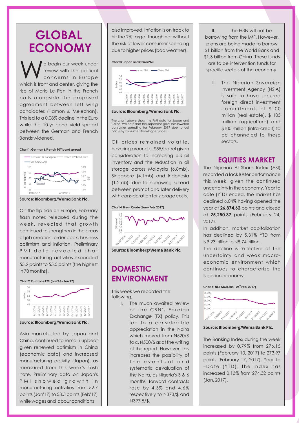### **GLOBAL ECONOMY**

e begin our week under<br>review with the political concerns in Europe which is front and center, giving the rise of Marie Le Pen in the French polls alongside the proposed agreement between left wing candidates (Hamon & Melechon). This led to a 0.08% decline in the Euro while the 10-yr bond yield spread between the German and French Bonds widened.

#### **Chart 1: German & French 10Y bond spread**



**Source: Bloomberg/Wema Bank Plc.**

On the flip side on Europe, February flash notes released during the week, revealed that growth continued to strengthen in the areas of job creation, order book, business optimism and inflation. Preliminary P M I data revealed that manufacturing activities expanded 55.2 points to 55.5 points (the highest in 70 months).





**Source: Bloomberg/Wema Bank Plc.**

Asia markets, led by Japan and China, continued to remain upbeat given renewed optimism in China (economic data) and increased manufacturing activity (Japan), as measured from this week's flash note. Preliminary data on Japan's P M I showed growth in manufacturing activities from 52.7 points (Jan'17) to 53.5 points (Feb'17) while wages and labour conditions

also improved. Inflation is on track to hit the 2% target though not without the risk of lower consumer spending due to higher prices (bad weather).

#### **Chart 3: Japan and China PMI**



**Source: Bloomberg/Wema Bank Plc.**

The chart above show the PMI data for Japan and China. We note that the Japanese govt. has lowered consumer spending for February 2017 due to cut backs by consumers from higher prices.

Oil prices remained volatile, hovering around c. \$55/barrel given consideration to increasing U.S oil inventory and the reduction in oil storage across Malaysia (6.8mb), Singapore (4.1mb) and Indonesia (1.2mb), due to narrowing spread between prompt and later delivery with consideration for storage costs.

**Chart 4: Brent Crude (Jan – Feb. 2017)**



**Source: Bloomberg/Wema Bank Plc.**

### **DOMESTIC ENVIRONMENT**

This week we recorded the following;

> I. The much awaited review of the CBN's Foreign Exchange (FX) policy. This led to a considerable appreciation in the Naira which moved from N520/\$ to c. N500/\$ as at the writing of this report. However, this increases the possibility of the eventual and systematic devaluation of the Naira, as Nigeria's 3 & 6 months' forward contracts rose by 4.5% and 4.6% respectively to N373/\$ and N397.5/\$.

II. The FGN will not be borrowing from the IMF. However, plans are being made to borrow \$1 billion from the World Bank and \$1.3 billion from China. These funds are to be intervention funds for specific sectors of the economy.

> III. The Nigerian Sovereign Investment Agency (NSIA) is said to have secured foreign direct investment commitments of \$100 million (real estate), \$ 105 million (agriculture) and \$100 million (infra-credit) to be channeled to these sectors.

### **EQUITIES MARKET**

The Nigerian All-Share Index (ASI) recorded a lack luster performance this week, given the continued uncertainty in the economy. Year to date (YTD) ended, the market has declined 6.04% having opened the year at **26,874.62** points and closed a**t 25,250.37** points (February 24, 2017).

In addition, market capitalization has declined by 5.31% YTD from N9.23 trillion to N8.74 trillion.

The decline is reflective of the uncertainty and weak macroeconomic environment which continues to characterize the Nigerian economy.

**th Chart 5: NSE ALSI (Jan – 24 Feb. 2017)**



**Source: Bloomberg/Wema Bank Plc.**

The Banking Index during the week increased by 0.79% from 276.15 points (February 10, 2017) to 273.97 points (February 17, 2017). Year–to – Date (YTD), the index has increased 0.13% from 274.32 points (Jan, 2017).